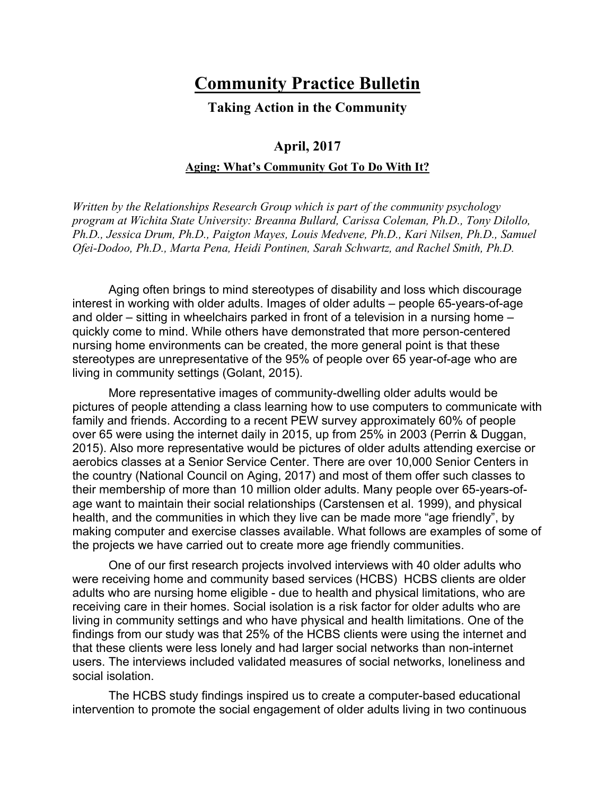## **Community Practice Bulletin**

**Taking Action in the Community**

## **April, 2017 Aging: What's Community Got To Do With It?**

*Written by the Relationships Research Group which is part of the community psychology program at Wichita State University: Breanna Bullard, Carissa Coleman, Ph.D., Tony Dilollo, Ph.D., Jessica Drum, Ph.D., Paigton Mayes, Louis Medvene, Ph.D., Kari Nilsen, Ph.D., Samuel Ofei-Dodoo, Ph.D., Marta Pena, Heidi Pontinen, Sarah Schwartz, and Rachel Smith, Ph.D.*

Aging often brings to mind stereotypes of disability and loss which discourage interest in working with older adults. Images of older adults – people 65-years-of-age and older – sitting in wheelchairs parked in front of a television in a nursing home – quickly come to mind. While others have demonstrated that more person-centered nursing home environments can be created, the more general point is that these stereotypes are unrepresentative of the 95% of people over 65 year-of-age who are living in community settings (Golant, 2015).

More representative images of community-dwelling older adults would be pictures of people attending a class learning how to use computers to communicate with family and friends. According to a recent PEW survey approximately 60% of people over 65 were using the internet daily in 2015, up from 25% in 2003 (Perrin & Duggan, 2015). Also more representative would be pictures of older adults attending exercise or aerobics classes at a Senior Service Center. There are over 10,000 Senior Centers in the country (National Council on Aging, 2017) and most of them offer such classes to their membership of more than 10 million older adults. Many people over 65-years-ofage want to maintain their social relationships (Carstensen et al. 1999), and physical health, and the communities in which they live can be made more "age friendly", by making computer and exercise classes available. What follows are examples of some of the projects we have carried out to create more age friendly communities.

One of our first research projects involved interviews with 40 older adults who were receiving home and community based services (HCBS) HCBS clients are older adults who are nursing home eligible - due to health and physical limitations, who are receiving care in their homes. Social isolation is a risk factor for older adults who are living in community settings and who have physical and health limitations. One of the findings from our study was that 25% of the HCBS clients were using the internet and that these clients were less lonely and had larger social networks than non-internet users. The interviews included validated measures of social networks, loneliness and social isolation.

The HCBS study findings inspired us to create a computer-based educational intervention to promote the social engagement of older adults living in two continuous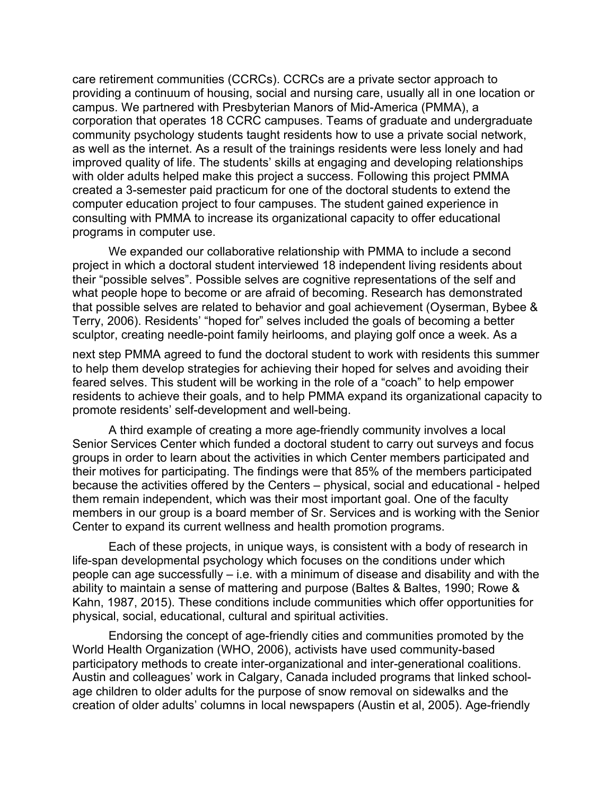care retirement communities (CCRCs). CCRCs are a private sector approach to providing a continuum of housing, social and nursing care, usually all in one location or campus. We partnered with Presbyterian Manors of Mid-America (PMMA), a corporation that operates 18 CCRC campuses. Teams of graduate and undergraduate community psychology students taught residents how to use a private social network, as well as the internet. As a result of the trainings residents were less lonely and had improved quality of life. The students' skills at engaging and developing relationships with older adults helped make this project a success. Following this project PMMA created a 3-semester paid practicum for one of the doctoral students to extend the computer education project to four campuses. The student gained experience in consulting with PMMA to increase its organizational capacity to offer educational programs in computer use.

We expanded our collaborative relationship with PMMA to include a second project in which a doctoral student interviewed 18 independent living residents about their "possible selves". Possible selves are cognitive representations of the self and what people hope to become or are afraid of becoming. Research has demonstrated that possible selves are related to behavior and goal achievement (Oyserman, Bybee & Terry, 2006). Residents' "hoped for" selves included the goals of becoming a better sculptor, creating needle-point family heirlooms, and playing golf once a week. As a

next step PMMA agreed to fund the doctoral student to work with residents this summer to help them develop strategies for achieving their hoped for selves and avoiding their feared selves. This student will be working in the role of a "coach" to help empower residents to achieve their goals, and to help PMMA expand its organizational capacity to promote residents' self-development and well-being.

A third example of creating a more age-friendly community involves a local Senior Services Center which funded a doctoral student to carry out surveys and focus groups in order to learn about the activities in which Center members participated and their motives for participating. The findings were that 85% of the members participated because the activities offered by the Centers – physical, social and educational - helped them remain independent, which was their most important goal. One of the faculty members in our group is a board member of Sr. Services and is working with the Senior Center to expand its current wellness and health promotion programs.

Each of these projects, in unique ways, is consistent with a body of research in life-span developmental psychology which focuses on the conditions under which people can age successfully – i.e. with a minimum of disease and disability and with the ability to maintain a sense of mattering and purpose (Baltes & Baltes, 1990; Rowe & Kahn, 1987, 2015). These conditions include communities which offer opportunities for physical, social, educational, cultural and spiritual activities.

Endorsing the concept of age-friendly cities and communities promoted by the World Health Organization (WHO, 2006), activists have used community-based participatory methods to create inter-organizational and inter-generational coalitions. Austin and colleagues' work in Calgary, Canada included programs that linked schoolage children to older adults for the purpose of snow removal on sidewalks and the creation of older adults' columns in local newspapers (Austin et al, 2005). Age-friendly